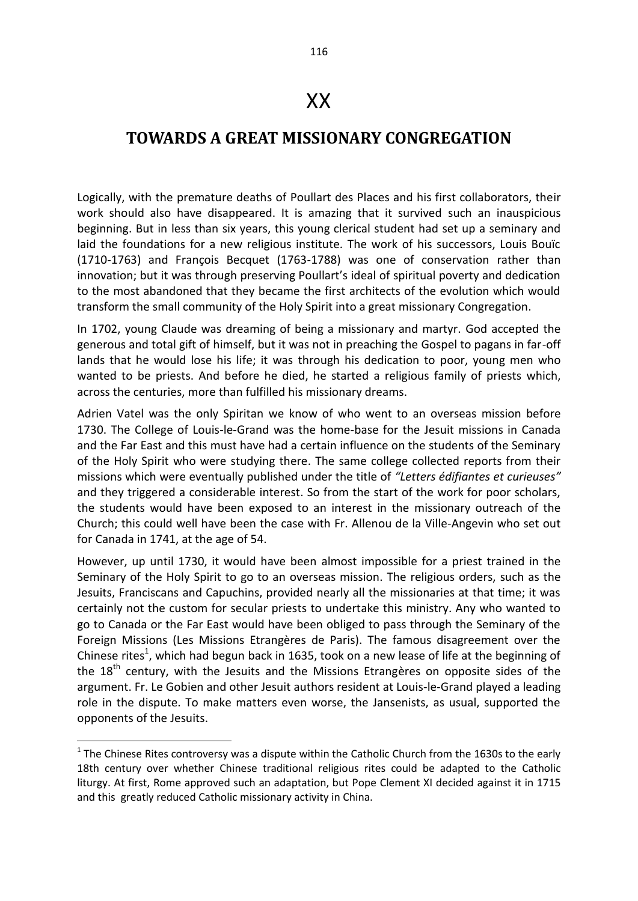## XX

## **TOWARDS A GREAT MISSIONARY CONGREGATION**

Logically, with the premature deaths of Poullart des Places and his first collaborators, their work should also have disappeared. It is amazing that it survived such an inauspicious beginning. But in less than six years, this young clerical student had set up a seminary and laid the foundations for a new religious institute. The work of his successors, Louis Bouïc (1710-1763) and François Becquet (1763-1788) was one of conservation rather than innovation; but it was through preserving Poullart's ideal of spiritual poverty and dedication to the most abandoned that they became the first architects of the evolution which would transform the small community of the Holy Spirit into a great missionary Congregation.

In 1702, young Claude was dreaming of being a missionary and martyr. God accepted the generous and total gift of himself, but it was not in preaching the Gospel to pagans in far-off lands that he would lose his life; it was through his dedication to poor, young men who wanted to be priests. And before he died, he started a religious family of priests which, across the centuries, more than fulfilled his missionary dreams.

Adrien Vatel was the only Spiritan we know of who went to an overseas mission before 1730. The College of Louis-le-Grand was the home-base for the Jesuit missions in Canada and the Far East and this must have had a certain influence on the students of the Seminary of the Holy Spirit who were studying there. The same college collected reports from their missions which were eventually published under the title of *"Letters édifiantes et curieuses"* and they triggered a considerable interest. So from the start of the work for poor scholars, the students would have been exposed to an interest in the missionary outreach of the Church; this could well have been the case with Fr. Allenou de la Ville-Angevin who set out for Canada in 1741, at the age of 54.

However, up until 1730, it would have been almost impossible for a priest trained in the Seminary of the Holy Spirit to go to an overseas mission. The religious orders, such as the Jesuits, Franciscans and Capuchins, provided nearly all the missionaries at that time; it was certainly not the custom for secular priests to undertake this ministry. Any who wanted to go to Canada or the Far East would have been obliged to pass through the Seminary of the Foreign Missions (Les Missions Etrangères de Paris). The famous disagreement over the Chinese rites<sup>1</sup>, which had begun back in 1635, took on a new lease of life at the beginning of the  $18<sup>th</sup>$  century, with the Jesuits and the Missions Etrangères on opposite sides of the argument. Fr. Le Gobien and other Jesuit authors resident at Louis-le-Grand played a leading role in the dispute. To make matters even worse, the Jansenists, as usual, supported the opponents of the Jesuits.

 $1$  The Chinese Rites controversy was a dispute within the [Catholic Church](http://en.wikipedia.org/wiki/Catholic_Church) from the 1630s to the early 18th century over whether Chinese traditional religi[ous](http://en.wikipedia.org/wiki/Chinese_folk_religion) rites could be adapted to the Catholic liturgy. At first, Rome approved such an adaptation, but [Pope](http://en.wikipedia.org/wiki/Pope) [Clement XI](http://en.wikipedia.org/wiki/Clement_XI) decided against it in 1715 and this greatly reduced Catholic [missionary](http://en.wikipedia.org/wiki/Missionary) activity in [China.](http://en.wikipedia.org/wiki/China)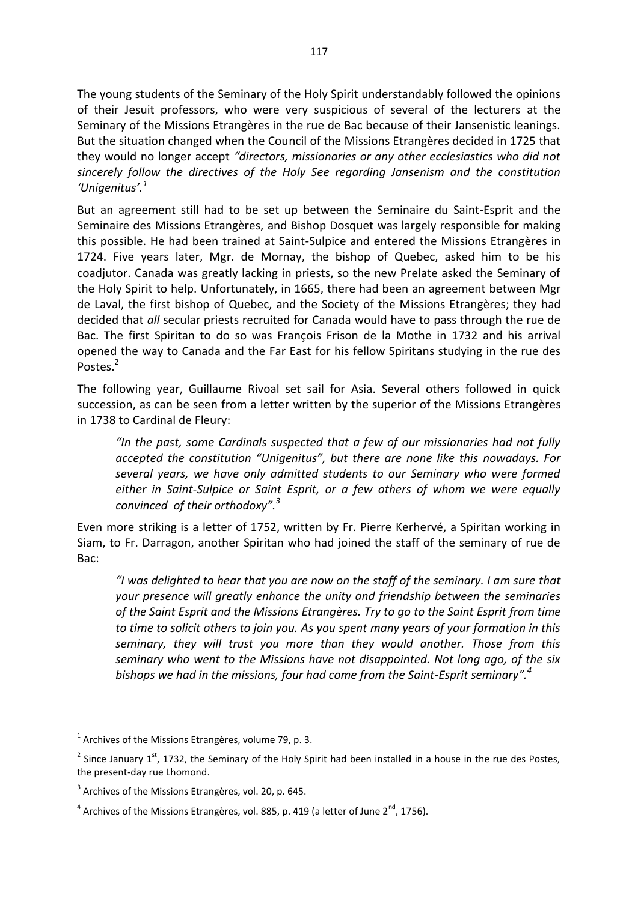The young students of the Seminary of the Holy Spirit understandably followed the opinions of their Jesuit professors, who were very suspicious of several of the lecturers at the Seminary of the Missions Etrangères in the rue de Bac because of their Jansenistic leanings. But the situation changed when the Council of the Missions Etrangères decided in 1725 that they would no longer accept *"directors, missionaries or any other ecclesiastics who did not sincerely follow the directives of the Holy See regarding Jansenism and the constitution 'Unigenitus'.<sup>1</sup>*

But an agreement still had to be set up between the Seminaire du Saint-Esprit and the Seminaire des Missions Etrangères, and Bishop Dosquet was largely responsible for making this possible. He had been trained at Saint-Sulpice and entered the Missions Etrangères in 1724. Five years later, Mgr. de Mornay, the bishop of Quebec, asked him to be his coadjutor. Canada was greatly lacking in priests, so the new Prelate asked the Seminary of the Holy Spirit to help. Unfortunately, in 1665, there had been an agreement between Mgr de Laval, the first bishop of Quebec, and the Society of the Missions Etrangères; they had decided that *all* secular priests recruited for Canada would have to pass through the rue de Bac. The first Spiritan to do so was François Frison de la Mothe in 1732 and his arrival opened the way to Canada and the Far East for his fellow Spiritans studying in the rue des Postes.<sup>2</sup>

The following year, Guillaume Rivoal set sail for Asia. Several others followed in quick succession, as can be seen from a letter written by the superior of the Missions Etrangères in 1738 to Cardinal de Fleury:

*"In the past, some Cardinals suspected that a few of our missionaries had not fully accepted the constitution "Unigenitus", but there are none like this nowadays. For several years, we have only admitted students to our Seminary who were formed either in Saint-Sulpice or Saint Esprit, or a few others of whom we were equally convinced of their orthodoxy".<sup>3</sup>*

Even more striking is a letter of 1752, written by Fr. Pierre Kerhervé, a Spiritan working in Siam, to Fr. Darragon, another Spiritan who had joined the staff of the seminary of rue de Bac:

*"I was delighted to hear that you are now on the staff of the seminary. I am sure that your presence will greatly enhance the unity and friendship between the seminaries of the Saint Esprit and the Missions Etrangères. Try to go to the Saint Esprit from time to time to solicit others to join you. As you spent many years of your formation in this seminary, they will trust you more than they would another. Those from this seminary who went to the Missions have not disappointed. Not long ago, of the six bishops we had in the missions, four had come from the Saint-Esprit seminary".<sup>4</sup>* 

 $1$  Archives of the Missions Etrangères, volume 79, p. 3.

<sup>&</sup>lt;sup>2</sup> Since January 1<sup>st</sup>, 1732, the Seminary of the Holy Spirit had been installed in a house in the rue des Postes, the present-day rue Lhomond.

<sup>&</sup>lt;sup>3</sup> Archives of the Missions Etrangères, vol. 20, p. 645.

 $^4$  Archives of the Missions Etrangères, vol. 885, p. 419 (a letter of June 2<sup>nd</sup>, 1756).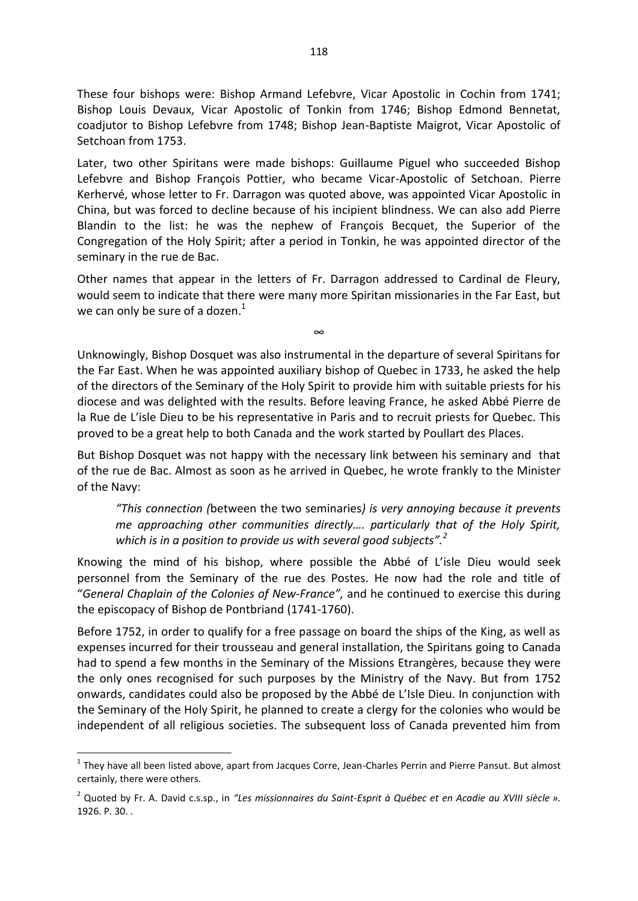These four bishops were: Bishop Armand Lefebvre, Vicar Apostolic in Cochin from 1741; Bishop Louis Devaux, Vicar Apostolic of Tonkin from 1746; Bishop Edmond Bennetat, coadjutor to Bishop Lefebvre from 1748; Bishop Jean-Baptiste Maigrot, Vicar Apostolic of Setchoan from 1753.

Later, two other Spiritans were made bishops: Guillaume Piguel who succeeded Bishop Lefebvre and Bishop François Pottier, who became Vicar-Apostolic of Setchoan. Pierre Kerhervé, whose letter to Fr. Darragon was quoted above, was appointed Vicar Apostolic in China, but was forced to decline because of his incipient blindness. We can also add Pierre Blandin to the list: he was the nephew of François Becquet, the Superior of the Congregation of the Holy Spirit; after a period in Tonkin, he was appointed director of the seminary in the rue de Bac.

Other names that appear in the letters of Fr. Darragon addressed to Cardinal de Fleury, would seem to indicate that there were many more Spiritan missionaries in the Far East, but we can only be sure of a dozen.<sup>1</sup>

∞

Unknowingly, Bishop Dosquet was also instrumental in the departure of several Spiritans for the Far East. When he was appointed auxiliary bishop of Quebec in 1733, he asked the help of the directors of the Seminary of the Holy Spirit to provide him with suitable priests for his diocese and was delighted with the results. Before leaving France, he asked Abbé Pierre de la Rue de L'isle Dieu to be his representative in Paris and to recruit priests for Quebec. This proved to be a great help to both Canada and the work started by Poullart des Places.

But Bishop Dosquet was not happy with the necessary link between his seminary and that of the rue de Bac. Almost as soon as he arrived in Quebec, he wrote frankly to the Minister of the Navy:

*"This connection (*between the two seminaries*) is very annoying because it prevents me approaching other communities directly…. particularly that of the Holy Spirit, which is in a position to provide us with several good subjects".<sup>2</sup>*

Knowing the mind of his bishop, where possible the Abbé of L'isle Dieu would seek personnel from the Seminary of the rue des Postes. He now had the role and title of "*General Chaplain of the Colonies of New-France",* and he continued to exercise this during the episcopacy of Bishop de Pontbriand (1741-1760).

Before 1752, in order to qualify for a free passage on board the ships of the King, as well as expenses incurred for their trousseau and general installation, the Spiritans going to Canada had to spend a few months in the Seminary of the Missions Etrangères, because they were the only ones recognised for such purposes by the Ministry of the Navy. But from 1752 onwards, candidates could also be proposed by the Abbé de L'Isle Dieu. In conjunction with the Seminary of the Holy Spirit, he planned to create a clergy for the colonies who would be independent of all religious societies. The subsequent loss of Canada prevented him from

**.** 

 $<sup>1</sup>$  They have all been listed above, apart from Jacques Corre, Jean-Charles Perrin and Pierre Pansut. But almost</sup> certainly, there were others.

<sup>2</sup> Quoted by Fr. A. David c.s.sp., in *"Les missionnaires du Saint-Esprit à Québec et en Acadie au XVIII siècle ».*  1926. P. 30. *.*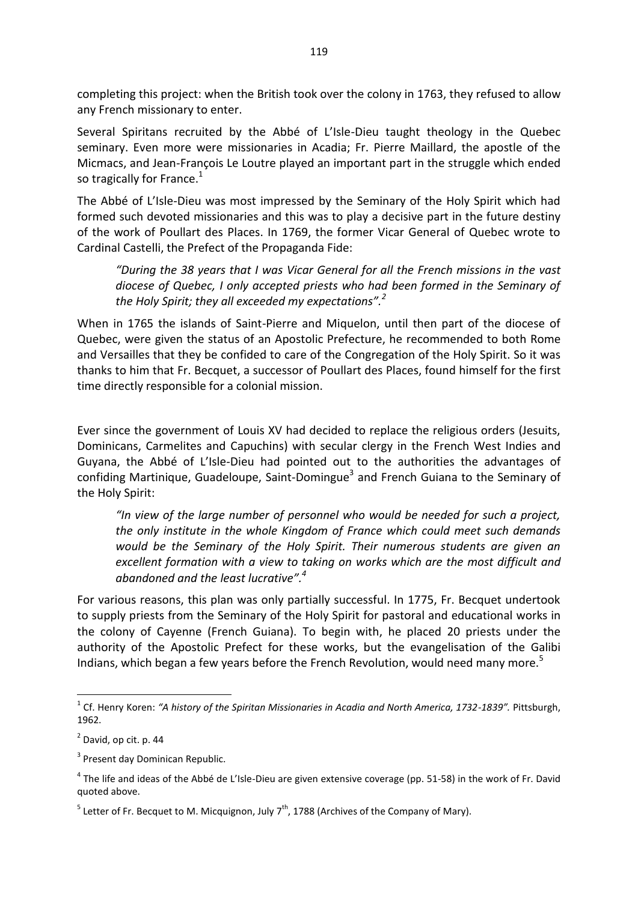completing this project: when the British took over the colony in 1763, they refused to allow any French missionary to enter.

Several Spiritans recruited by the Abbé of L'Isle-Dieu taught theology in the Quebec seminary. Even more were missionaries in Acadia; Fr. Pierre Maillard, the apostle of the Micmacs, and Jean-François Le Loutre played an important part in the struggle which ended so tragically for France.<sup>1</sup>

The Abbé of L'Isle-Dieu was most impressed by the Seminary of the Holy Spirit which had formed such devoted missionaries and this was to play a decisive part in the future destiny of the work of Poullart des Places. In 1769, the former Vicar General of Quebec wrote to Cardinal Castelli, the Prefect of the Propaganda Fide:

*"During the 38 years that I was Vicar General for all the French missions in the vast diocese of Quebec, I only accepted priests who had been formed in the Seminary of the Holy Spirit; they all exceeded my expectations".<sup>2</sup>* 

When in 1765 the islands of Saint-Pierre and Miquelon, until then part of the diocese of Quebec, were given the status of an Apostolic Prefecture, he recommended to both Rome and Versailles that they be confided to care of the Congregation of the Holy Spirit. So it was thanks to him that Fr. Becquet, a successor of Poullart des Places, found himself for the first time directly responsible for a colonial mission.

Ever since the government of Louis XV had decided to replace the religious orders (Jesuits, Dominicans, Carmelites and Capuchins) with secular clergy in the French West Indies and Guyana, the Abbé of L'Isle-Dieu had pointed out to the authorities the advantages of confiding Martinique, Guadeloupe, Saint-Domingue<sup>3</sup> and French Guiana to the Seminary of the Holy Spirit:

*"In view of the large number of personnel who would be needed for such a project, the only institute in the whole Kingdom of France which could meet such demands would be the Seminary of the Holy Spirit. Their numerous students are given an excellent formation with a view to taking on works which are the most difficult and abandoned and the least lucrative".<sup>4</sup>*

For various reasons, this plan was only partially successful. In 1775, Fr. Becquet undertook to supply priests from the Seminary of the Holy Spirit for pastoral and educational works in the colony of Cayenne (French Guiana). To begin with, he placed 20 priests under the authority of the Apostolic Prefect for these works, but the evangelisation of the Galibi Indians, which began a few years before the French Revolution, would need many more.<sup>5</sup>

 $\overline{\phantom{a}}$ 

<sup>1</sup> Cf. Henry Koren: *"A history of the Spiritan Missionaries in Acadia and North America, 1732-1839".* Pittsburgh, 1962.

 $2$  David, op cit. p. 44

<sup>&</sup>lt;sup>3</sup> Present day Dominican Republic.

 $^4$  The life and ideas of the Abbé de L'Isle-Dieu are given extensive coverage (pp. 51-58) in the work of Fr. David quoted above.

<sup>&</sup>lt;sup>5</sup> Letter of Fr. Becquet to M. Micquignon, July 7<sup>th</sup>, 1788 (Archives of the Company of Mary).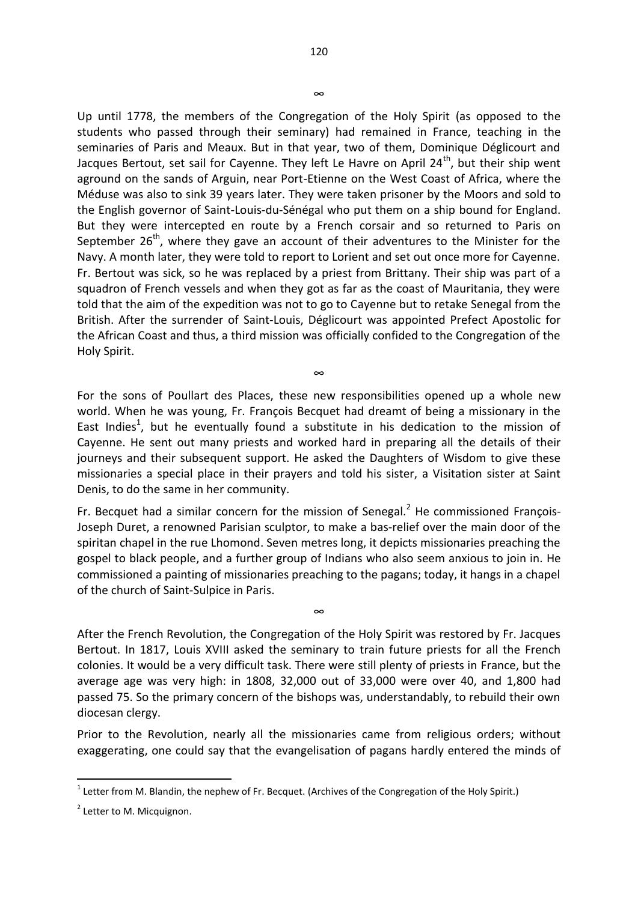Up until 1778, the members of the Congregation of the Holy Spirit (as opposed to the students who passed through their seminary) had remained in France, teaching in the seminaries of Paris and Meaux. But in that year, two of them, Dominique Déglicourt and Jacques Bertout, set sail for Cayenne. They left Le Havre on April  $24<sup>th</sup>$ , but their ship went aground on the sands of Arguin, near Port-Etienne on the West Coast of Africa, where the Méduse was also to sink 39 years later. They were taken prisoner by the Moors and sold to the English governor of Saint-Louis-du-Sénégal who put them on a ship bound for England. But they were intercepted en route by a French corsair and so returned to Paris on September  $26<sup>th</sup>$ , where they gave an account of their adventures to the Minister for the Navy. A month later, they were told to report to Lorient and set out once more for Cayenne. Fr. Bertout was sick, so he was replaced by a priest from Brittany. Their ship was part of a squadron of French vessels and when they got as far as the coast of Mauritania, they were told that the aim of the expedition was not to go to Cayenne but to retake Senegal from the British. After the surrender of Saint-Louis, Déglicourt was appointed Prefect Apostolic for the African Coast and thus, a third mission was officially confided to the Congregation of the Holy Spirit.

For the sons of Poullart des Places, these new responsibilities opened up a whole new world. When he was young, Fr. François Becquet had dreamt of being a missionary in the East Indies<sup>1</sup>, but he eventually found a substitute in his dedication to the mission of Cayenne. He sent out many priests and worked hard in preparing all the details of their journeys and their subsequent support. He asked the Daughters of Wisdom to give these missionaries a special place in their prayers and told his sister, a Visitation sister at Saint Denis, to do the same in her community.

∞

Fr. Becquet had a similar concern for the mission of Senegal. $<sup>2</sup>$  He commissioned François-</sup> Joseph Duret, a renowned Parisian sculptor, to make a bas-relief over the main door of the spiritan chapel in the rue Lhomond. Seven metres long, it depicts missionaries preaching the gospel to black people, and a further group of Indians who also seem anxious to join in. He commissioned a painting of missionaries preaching to the pagans; today, it hangs in a chapel of the church of Saint-Sulpice in Paris.

∞

After the French Revolution, the Congregation of the Holy Spirit was restored by Fr. Jacques Bertout. In 1817, Louis XVIII asked the seminary to train future priests for all the French colonies. It would be a very difficult task. There were still plenty of priests in France, but the average age was very high: in 1808, 32,000 out of 33,000 were over 40, and 1,800 had passed 75. So the primary concern of the bishops was, understandably, to rebuild their own diocesan clergy.

Prior to the Revolution, nearly all the missionaries came from religious orders; without exaggerating, one could say that the evangelisation of pagans hardly entered the minds of

**.** 

∞

 $1$  Letter from M. Blandin, the nephew of Fr. Becquet. (Archives of the Congregation of the Holy Spirit.)

<sup>&</sup>lt;sup>2</sup> Letter to M. Micquignon.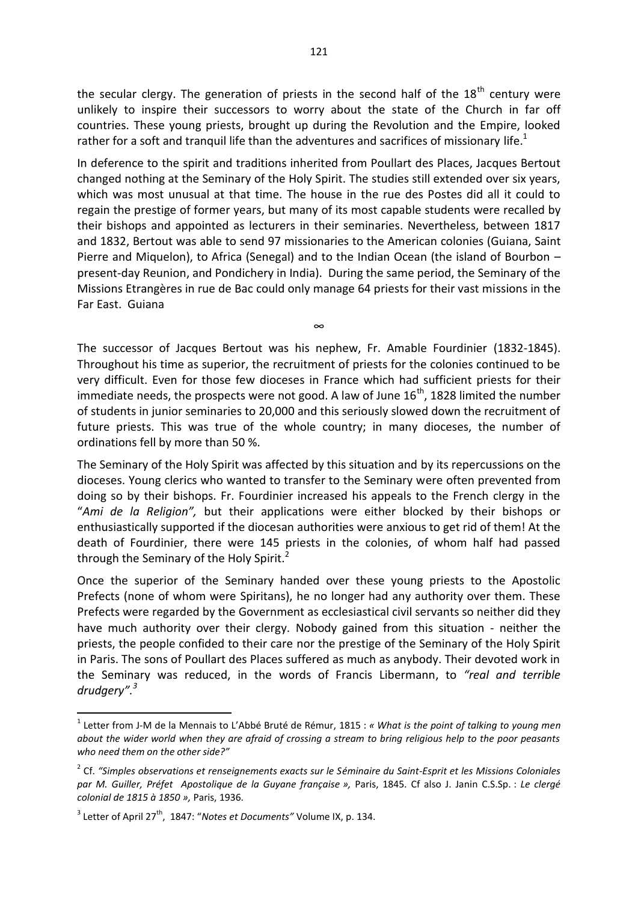the secular clergy. The generation of priests in the second half of the  $18<sup>th</sup>$  century were unlikely to inspire their successors to worry about the state of the Church in far off countries. These young priests, brought up during the Revolution and the Empire, looked rather for a soft and tranquil life than the adventures and sacrifices of missionary life.<sup>1</sup>

In deference to the spirit and traditions inherited from Poullart des Places, Jacques Bertout changed nothing at the Seminary of the Holy Spirit. The studies still extended over six years, which was most unusual at that time. The house in the rue des Postes did all it could to regain the prestige of former years, but many of its most capable students were recalled by their bishops and appointed as lecturers in their seminaries. Nevertheless, between 1817 and 1832, Bertout was able to send 97 missionaries to the American colonies (Guiana, Saint Pierre and Miquelon), to Africa (Senegal) and to the Indian Ocean (the island of Bourbon – present-day Reunion, and Pondichery in India). During the same period, the Seminary of the Missions Etrangères in rue de Bac could only manage 64 priests for their vast missions in the Far East. Guiana

The successor of Jacques Bertout was his nephew, Fr. Amable Fourdinier (1832-1845). Throughout his time as superior, the recruitment of priests for the colonies continued to be very difficult. Even for those few dioceses in France which had sufficient priests for their immediate needs, the prospects were not good. A law of June  $16<sup>th</sup>$ , 1828 limited the number of students in junior seminaries to 20,000 and this seriously slowed down the recruitment of future priests. This was true of the whole country; in many dioceses, the number of ordinations fell by more than 50 %.

∞

The Seminary of the Holy Spirit was affected by this situation and by its repercussions on the dioceses. Young clerics who wanted to transfer to the Seminary were often prevented from doing so by their bishops. Fr. Fourdinier increased his appeals to the French clergy in the "*Ami de la Religion",* but their applications were either blocked by their bishops or enthusiastically supported if the diocesan authorities were anxious to get rid of them! At the death of Fourdinier, there were 145 priests in the colonies, of whom half had passed through the Seminary of the Holy Spirit.<sup>2</sup>

Once the superior of the Seminary handed over these young priests to the Apostolic Prefects (none of whom were Spiritans), he no longer had any authority over them. These Prefects were regarded by the Government as ecclesiastical civil servants so neither did they have much authority over their clergy. Nobody gained from this situation - neither the priests, the people confided to their care nor the prestige of the Seminary of the Holy Spirit in Paris. The sons of Poullart des Places suffered as much as anybody. Their devoted work in the Seminary was reduced, in the words of Francis Libermann, to *"real and terrible drudgery".<sup>3</sup>*

<sup>1</sup> Letter from J-M de la Mennais to L'Abbé Bruté de Rémur, 1815 : *« What is the point of talking to young men about the wider world when they are afraid of crossing a stream to bring religious help to the poor peasants who need them on the other side?"* 

<sup>2</sup> Cf. *"Simples observations et renseignements exacts sur le Séminaire du Saint-Esprit et les Missions Coloniales par M. Guiller, Préfet Apostolique de la Guyane française »,* Paris, 1845. Cf also J. Janin C.S.Sp. : *Le clergé colonial de 1815 à 1850 »,* Paris, 1936.

<sup>&</sup>lt;sup>3</sup> Letter of April 27<sup>th</sup>, 1847: "Notes et Documents" Volume IX, p. 134.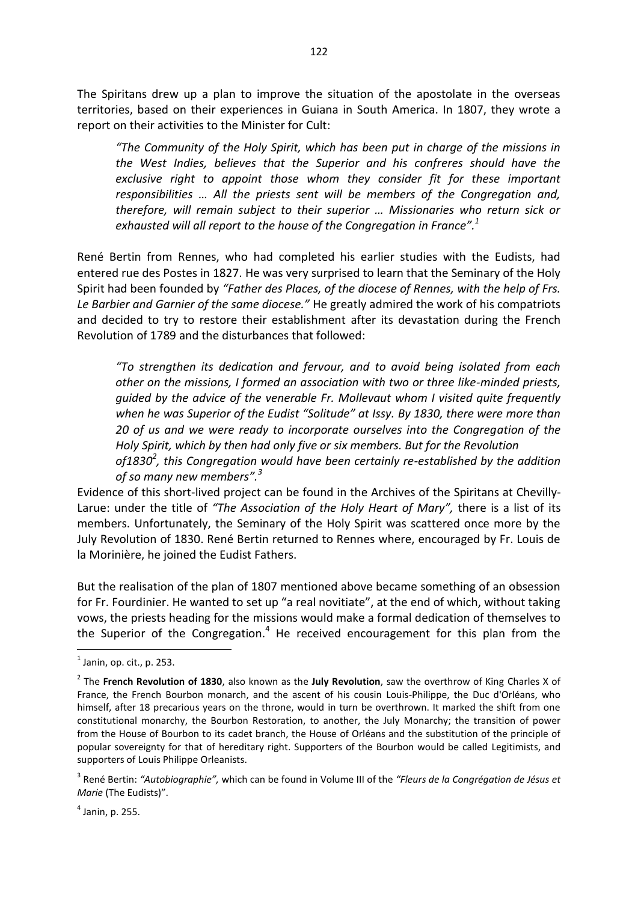The Spiritans drew up a plan to improve the situation of the apostolate in the overseas territories, based on their experiences in Guiana in South America. In 1807, they wrote a report on their activities to the Minister for Cult:

*"The Community of the Holy Spirit, which has been put in charge of the missions in the West Indies, believes that the Superior and his confreres should have the exclusive right to appoint those whom they consider fit for these important responsibilities … All the priests sent will be members of the Congregation and, therefore, will remain subject to their superior … Missionaries who return sick or exhausted will all report to the house of the Congregation in France".<sup>1</sup>* 

René Bertin from Rennes, who had completed his earlier studies with the Eudists, had entered rue des Postes in 1827. He was very surprised to learn that the Seminary of the Holy Spirit had been founded by *"Father des Places, of the diocese of Rennes, with the help of Frs. Le Barbier and Garnier of the same diocese."* He greatly admired the work of his compatriots and decided to try to restore their establishment after its devastation during the French Revolution of 1789 and the disturbances that followed:

*"To strengthen its dedication and fervour, and to avoid being isolated from each other on the missions, I formed an association with two or three like-minded priests, guided by the advice of the venerable Fr. Mollevaut whom I visited quite frequently when he was Superior of the Eudist "Solitude" at Issy. By 1830, there were more than 20 of us and we were ready to incorporate ourselves into the Congregation of the Holy Spirit, which by then had only five or six members. But for the Revolution of1830<sup>2</sup> , this Congregation would have been certainly re-established by the addition* 

*of so many new members".<sup>3</sup>*

Evidence of this short-lived project can be found in the Archives of the Spiritans at Chevilly-Larue: under the title of *"The Association of the Holy Heart of Mary",* there is a list of its members. Unfortunately, the Seminary of the Holy Spirit was scattered once more by the July Revolution of 1830. René Bertin returned to Rennes where, encouraged by Fr. Louis de la Morinière, he joined the Eudist Fathers.

But the realisation of the plan of 1807 mentioned above became something of an obsession for Fr. Fourdinier. He wanted to set up "a real novitiate", at the end of which, without taking vows, the priests heading for the missions would make a formal dedication of themselves to the Superior of the Congregation.<sup>4</sup> He received encouragement for this plan from the

<sup>-&</sup>lt;br><sup>1</sup> Janin, op. cit., p. 253.

<sup>2</sup> The **French Revolution of 1830**, also known as the **July Revolution**, saw the overthrow of King [Charles X](http://en.wikipedia.org/wiki/Charles_X_of_France) of France, the French [Bourbon](http://en.wikipedia.org/wiki/House_of_Bourbon) monarch, and the ascent of his cousin [Louis-Philippe,](http://en.wikipedia.org/wiki/Louis-Philippe) the [Duc d'Orléans,](http://en.wikipedia.org/wiki/Duke_of_Orl%C3%A9ans) who himself, after 18 precarious years on the throne, would in turn be overthrown. It marked the shift from one [constitutional monarchy,](http://en.wikipedia.org/wiki/Constitutional_monarchy) the [Bourbon Restoration,](http://en.wikipedia.org/wiki/Bourbon_Restoration) to another, the [July Monarchy;](http://en.wikipedia.org/wiki/July_Monarchy) the transition of power from the House of Bourbon to its [cadet branch,](http://en.wikipedia.org/wiki/Cadet_branch) the [House of Orléans](http://en.wikipedia.org/wiki/House_of_Orl%C3%A9ans) and the substitution of the principle of [popular sovereignty](http://en.wikipedia.org/wiki/Popular_sovereignty) for that of [hereditary right.](http://en.wikipedia.org/wiki/Hereditary_right) Supporters of the Bourbon would be called [Legitimists,](http://en.wikipedia.org/wiki/Legitimist) and supporters of Louis Philippe [Orleanists.](http://en.wikipedia.org/wiki/Orleanist)

<sup>3</sup> René Bertin: *"Autobiographie",* which can be found in Volume III of the *"Fleurs de la Congrégation de Jésus et Marie* (The Eudists)".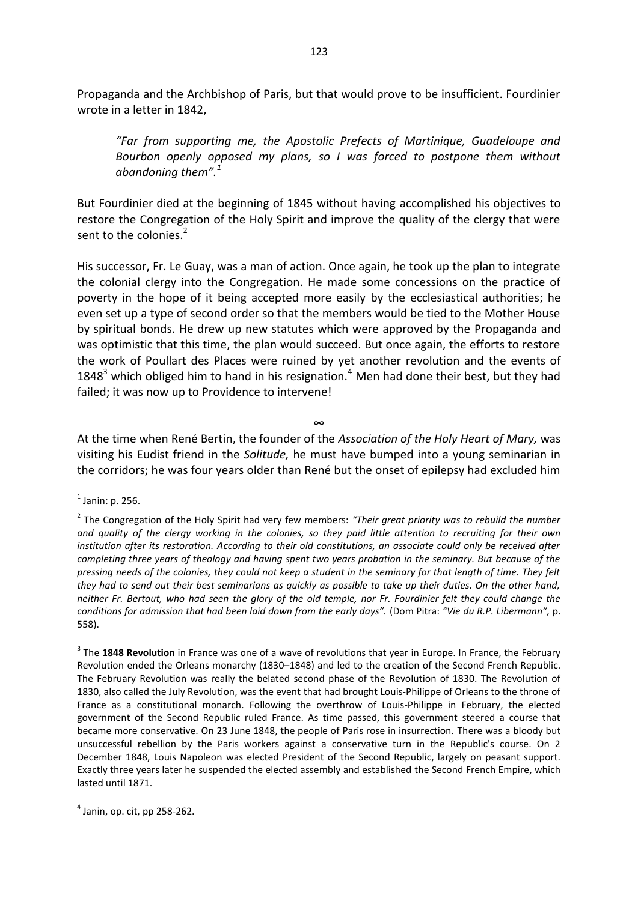Propaganda and the Archbishop of Paris, but that would prove to be insufficient. Fourdinier wrote in a letter in 1842,

*"Far from supporting me, the Apostolic Prefects of Martinique, Guadeloupe and Bourbon openly opposed my plans, so I was forced to postpone them without abandoning them".<sup>1</sup>* 

But Fourdinier died at the beginning of 1845 without having accomplished his objectives to restore the Congregation of the Holy Spirit and improve the quality of the clergy that were sent to the colonies.<sup>2</sup>

His successor, Fr. Le Guay, was a man of action. Once again, he took up the plan to integrate the colonial clergy into the Congregation. He made some concessions on the practice of poverty in the hope of it being accepted more easily by the ecclesiastical authorities; he even set up a type of second order so that the members would be tied to the Mother House by spiritual bonds. He drew up new statutes which were approved by the Propaganda and was optimistic that this time, the plan would succeed. But once again, the efforts to restore the work of Poullart des Places were ruined by yet another revolution and the events of 1848<sup>3</sup> which obliged him to hand in his resignation.<sup>4</sup> Men had done their best, but they had failed; it was now up to Providence to intervene!

∞

At the time when René Bertin, the founder of the *Association of the Holy Heart of Mary,* was visiting his Eudist friend in the *Solitude,* he must have bumped into a young seminarian in the corridors; he was four years older than René but the onset of epilepsy had excluded him

 $<sup>1</sup>$  Janin: p. 256.</sup>

<sup>2</sup> The Congregation of the Holy Spirit had very few members: *"Their great priority was to rebuild the number and quality of the clergy working in the colonies, so they paid little attention to recruiting for their own institution after its restoration. According to their old constitutions, an associate could only be received after completing three years of theology and having spent two years probation in the seminary. But because of the pressing needs of the colonies, they could not keep a student in the seminary for that length of time. They felt they had to send out their best seminarians as quickly as possible to take up their duties. On the other hand, neither Fr. Bertout, who had seen the glory of the old temple, nor Fr. Fourdinier felt they could change the conditions for admission that had been laid down from the early days".* (Dom Pitra: *"Vie du R.P. Libermann",* p. 558).

<sup>3</sup> The **1848 Revolution** in France was one of a [wave of revolutions that](http://en.wikipedia.org/wiki/Revolutions_of_1848) year in Europe. In France, the [February](http://en.wikipedia.org/wiki/French_Revolution_of_1848#The_events_of_February)  [Revolution](http://en.wikipedia.org/wiki/French_Revolution_of_1848#The_events_of_February) ended the [Orleans monarchy](http://en.wikipedia.org/wiki/Orleans_monarchy) (1830–1848) and led to the creation of the Second [French Republic.](http://en.wikipedia.org/wiki/French_Second_Republic) The February Revolution was really the belated second phase of the [Revolution of 1830.](http://en.wikipedia.org/wiki/Revolution_of_1830) The Revolution of 1830, also called the July Revolution, was the event that had brought [Louis-Philippe o](http://en.wikipedia.org/wiki/Louis-Philippe)f Orleans to the throne of France as a constitutional monarch. Following the overthrow of Louis-Philippe in February, the elected government of the Second Republic ruled France. As time passed, this government steered a course that became more conservative. On 23 June 1848, the people of Paris rose in insurrection. There was a bloody but unsuccessful rebellion by the Paris workers against a conservative turn in the Republic's course. On 2 December 1848, [Louis Napoleon](http://en.wikipedia.org/wiki/Louis_Napoleon) was elected President of the Second Republic, largely on peasant support. Exactly three years later he suspended the elected assembly and established the [Second French Empire,](http://en.wikipedia.org/wiki/Second_French_Empire) which lasted until 1871.

 $<sup>4</sup>$  Janin, op. cit, pp 258-262.</sup>